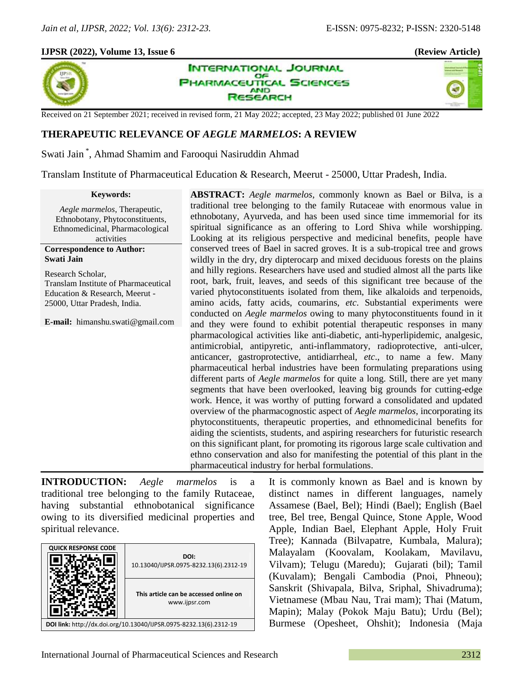# **IJPSR (2022), Volume 13, Issue 6 (Review Article)**



**INTERNATIONAL JOURNAL** OF **PHARMACEUTICAL SCIENCES AND ESEARCH** 



Received on 21 September 2021; received in revised form, 21 May 2022; accepted, 23 May 2022; published 01 June 2022

# **THERAPEUTIC RELEVANCE OF** *AEGLE MARMELOS***: A REVIEW**

Swati Jain \* , Ahmad Shamim and Farooqui Nasiruddin Ahmad

Translam Institute of Pharmaceutical Education & Research, Meerut - 25000, Uttar Pradesh, India.

#### **Keywords:**

*Aegle marmelos*, Therapeutic, Ethnobotany, Phytoconstituents, Ethnomedicinal, Pharmacological activities

**Correspondence to Author: Swati Jain**

Research Scholar, Translam Institute of Pharmaceutical Education & Research, Meerut - 25000, Uttar Pradesh, India.

**E-mail:** himanshu.swati@gmail.com

**ABSTRACT:** *Aegle marmelos*, commonly known as Bael or Bilva, is a traditional tree belonging to the family Rutaceae with enormous value in ethnobotany, Ayurveda, and has been used since time immemorial for its spiritual significance as an offering to Lord Shiva while worshipping. Looking at its religious perspective and medicinal benefits, people have conserved trees of Bael in sacred groves. It is a sub-tropical tree and grows wildly in the dry, dry dipterocarp and mixed deciduous forests on the plains and hilly regions. Researchers have used and studied almost all the parts like root, bark, fruit, leaves, and seeds of this significant tree because of the varied phytoconstituents isolated from them, like alkaloids and terpenoids, amino acids, fatty acids, coumarins, *etc*. Substantial experiments were conducted on *Aegle marmelos* owing to many phytoconstituents found in it and they were found to exhibit potential therapeutic responses in many pharmacological activities like anti-diabetic, anti-hyperlipidemic, analgesic, antimicrobial, antipyretic, anti-inflammatory, radioprotective, anti-ulcer, anticancer, gastroprotective, antidiarrheal, *etc*., to name a few. Many pharmaceutical herbal industries have been formulating preparations using different parts of *Aegle marmelos* for quite a long. Still, there are yet many segments that have been overlooked, leaving big grounds for cutting-edge work. Hence, it was worthy of putting forward a consolidated and updated overview of the pharmacognostic aspect of *Aegle marmelos*, incorporating its phytoconstituents, therapeutic properties, and ethnomedicinal benefits for aiding the scientists, students, and aspiring researchers for futuristic research on this significant plant, for promoting its rigorous large scale cultivation and ethno conservation and also for manifesting the potential of this plant in the pharmaceutical industry for herbal formulations.

**INTRODUCTION:** *Aegle marmelos* is a traditional tree belonging to the family Rutaceae, having substantial ethnobotanical significance owing to its diversified medicinal properties and spiritual relevance.



It is commonly known as Bael and is known by distinct names in different languages, namely Assamese (Bael, Bel); Hindi (Bael); English (Bael tree, Bel tree, Bengal Quince, Stone Apple, Wood Apple, Indian Bael, Elephant Apple, Holy Fruit Tree); Kannada (Bilvapatre, Kumbala, Malura); Malayalam (Koovalam, Koolakam, Mavilavu, Vilvam); Telugu (Maredu); Gujarati (bil); Tamil (Kuvalam); Bengali Cambodia (Pnoi, Phneou); Sanskrit (Shivapala, Bilva, Sriphal, Shivadruma); Vietnamese (Mbau Nau, Trai mam); Thai (Matum, Mapin); Malay (Pokok Maju Batu); Urdu (Bel); Burmese (Opesheet, Ohshit); Indonesia (Maja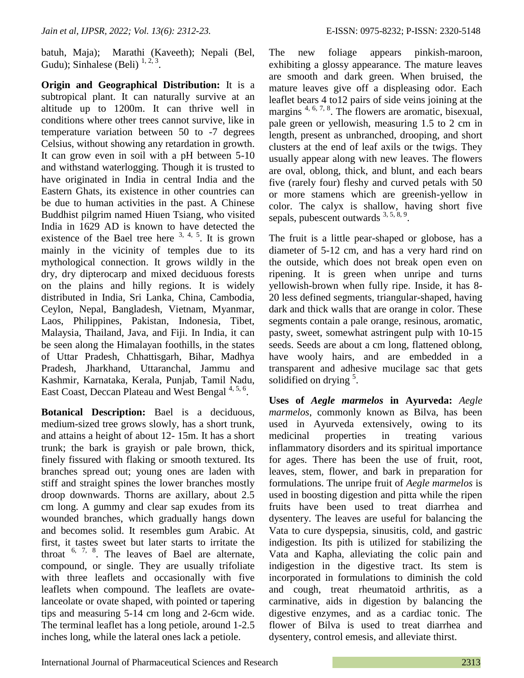batuh, Maja); Marathi (Kaveeth); Nepali (Bel, Gudu); Sinhalese (Beli)  $^{1, 2, 3}$ .

**Origin and Geographical Distribution:** It is a subtropical plant. It can naturally survive at an altitude up to 1200m. It can thrive well in conditions where other trees cannot survive, like in temperature variation between 50 to -7 degrees Celsius, without showing any retardation in growth. It can grow even in soil with a pH between 5-10 and withstand waterlogging. Though it is trusted to have originated in India in central India and the Eastern Ghats, its existence in other countries can be due to human activities in the past. A Chinese Buddhist pilgrim named Hiuen Tsiang, who visited India in 1629 AD is known to have detected the existence of the Bael tree here  $3, 4, 5$ . It is grown mainly in the vicinity of temples due to its mythological connection. It grows wildly in the dry, dry dipterocarp and mixed deciduous forests on the plains and hilly regions. It is widely distributed in India, Sri Lanka, China, Cambodia, Ceylon, Nepal, Bangladesh, Vietnam, Myanmar, Laos, Philippines, Pakistan, Indonesia, Tibet, Malaysia, Thailand, Java, and Fiji. In India, it can be seen along the Himalayan foothills, in the states of Uttar Pradesh, Chhattisgarh, Bihar, Madhya Pradesh, Jharkhand, Uttaranchal, Jammu and Kashmir, Karnataka, Kerala, Punjab, Tamil Nadu, East Coast, Deccan Plateau and West Bengal<sup>4, 5, 6</sup>.

**Botanical Description:** Bael is a deciduous, medium-sized tree grows slowly, has a short trunk, and attains a height of about 12- 15m. It has a short trunk; the bark is grayish or pale brown, thick, finely fissured with flaking or smooth textured. Its branches spread out; young ones are laden with stiff and straight spines the lower branches mostly droop downwards. Thorns are axillary, about 2.5 cm long. A gummy and clear sap exudes from its wounded branches, which gradually hangs down and becomes solid. It resembles gum Arabic. At first, it tastes sweet but later starts to irritate the throat  $6, 7, 8$ . The leaves of Bael are alternate, compound, or single. They are usually trifoliate with three leaflets and occasionally with five leaflets when compound. The leaflets are ovatelanceolate or ovate shaped, with pointed or tapering tips and measuring 5-14 cm long and 2-6cm wide. The terminal leaflet has a long petiole, around 1-2.5 inches long, while the lateral ones lack a petiole.

The new foliage appears pinkish-maroon, exhibiting a glossy appearance. The mature leaves are smooth and dark green. When bruised, the mature leaves give off a displeasing odor. Each leaflet bears 4 to12 pairs of side veins joining at the margins<sup>4, 6, 7, 8</sup>. The flowers are aromatic, bisexual, pale green or yellowish, measuring 1.5 to 2 cm in length, present as unbranched, drooping, and short clusters at the end of leaf axils or the twigs. They usually appear along with new leaves. The flowers are oval, oblong, thick, and blunt, and each bears five (rarely four) fleshy and curved petals with 50 or more stamens which are greenish-yellow in color. The calyx is shallow, having short five sepals, pubescent outwards  $3, 5, 8, 9$ .

The fruit is a little pear-shaped or globose, has a diameter of 5-12 cm, and has a very hard rind on the outside, which does not break open even on ripening. It is green when unripe and turns yellowish-brown when fully ripe. Inside, it has 8- 20 less defined segments, triangular-shaped, having dark and thick walls that are orange in color. These segments contain a pale orange, resinous, aromatic, pasty, sweet, somewhat astringent pulp with 10-15 seeds. Seeds are about a cm long, flattened oblong, have wooly hairs, and are embedded in a transparent and adhesive mucilage sac that gets solidified on drying  $5$ .

**Uses of** *Aegle marmelos* **in Ayurveda:** *Aegle marmelos*, commonly known as Bilva, has been used in Ayurveda extensively, owing to its medicinal properties in treating various inflammatory disorders and its spiritual importance for ages. There has been the use of fruit, root, leaves, stem, flower, and bark in preparation for formulations. The unripe fruit of *Aegle marmelos* is used in boosting digestion and pitta while the ripen fruits have been used to treat diarrhea and dysentery. The leaves are useful for balancing the Vata to cure dyspepsia, sinusitis, cold, and gastric indigestion. Its pith is utilized for stabilizing the Vata and Kapha, alleviating the colic pain and indigestion in the digestive tract. Its stem is incorporated in formulations to diminish the cold and cough, treat rheumatoid arthritis, as a carminative, aids in digestion by balancing the digestive enzymes, and as a cardiac tonic. The flower of Bilva is used to treat diarrhea and dysentery, control emesis, and alleviate thirst.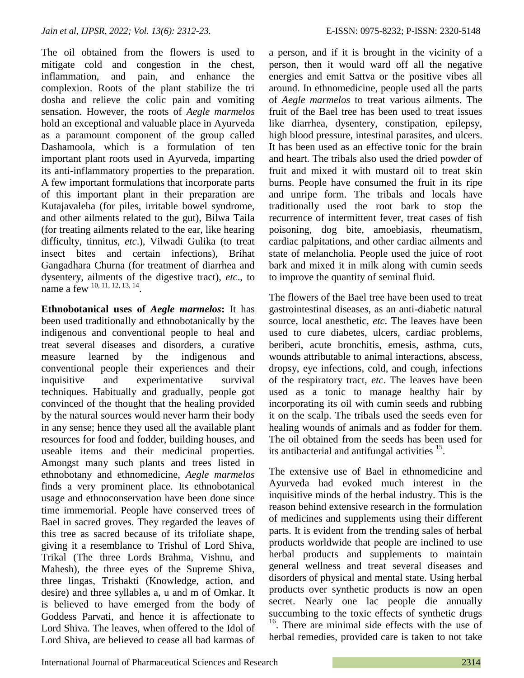The oil obtained from the flowers is used to mitigate cold and congestion in the chest, inflammation, and pain, and enhance the complexion. Roots of the plant stabilize the tri dosha and relieve the colic pain and vomiting sensation. However, the roots of *Aegle marmelos* hold an exceptional and valuable place in Ayurveda as a paramount component of the group called Dashamoola, which is a formulation of ten important plant roots used in Ayurveda, imparting its anti-inflammatory properties to the preparation. A few important formulations that incorporate parts of this important plant in their preparation are Kutajavaleha (for piles, irritable bowel syndrome, and other ailments related to the gut), Bilwa Taila (for treating ailments related to the ear, like hearing difficulty, tinnitus, *etc*.), Vilwadi Gulika (to treat insect bites and certain infections), Brihat Gangadhara Churna (for treatment of diarrhea and dysentery, ailments of the digestive tract), *etc*., to name a few  $^{10, 11, 12, 13, 14}$ .

**Ethnobotanical uses of** *Aegle marmelos***:** It has been used traditionally and ethnobotanically by the indigenous and conventional people to heal and treat several diseases and disorders, a curative measure learned by the indigenous and conventional people their experiences and their inquisitive and experimentative survival techniques. Habitually and gradually, people got convinced of the thought that the healing provided by the natural sources would never harm their body in any sense; hence they used all the available plant resources for food and fodder, building houses, and useable items and their medicinal properties. Amongst many such plants and trees listed in ethnobotany and ethnomedicine, *Aegle marmelos* finds a very prominent place. Its ethnobotanical usage and ethnoconservation have been done since time immemorial. People have conserved trees of Bael in sacred groves. They regarded the leaves of this tree as sacred because of its trifoliate shape, giving it a resemblance to Trishul of Lord Shiva, Trikal (The three Lords Brahma, Vishnu, and Mahesh), the three eyes of the Supreme Shiva, three lingas, Trishakti (Knowledge, action, and desire) and three syllables a, u and m of Omkar. It is believed to have emerged from the body of Goddess Parvati, and hence it is affectionate to Lord Shiva. The leaves, when offered to the Idol of Lord Shiva, are believed to cease all bad karmas of

a person, and if it is brought in the vicinity of a person, then it would ward off all the negative energies and emit Sattva or the positive vibes all around. In ethnomedicine, people used all the parts of *Aegle marmelos* to treat various ailments. The fruit of the Bael tree has been used to treat issues like diarrhea, dysentery, constipation, epilepsy, high blood pressure, intestinal parasites, and ulcers. It has been used as an effective tonic for the brain and heart. The tribals also used the dried powder of fruit and mixed it with mustard oil to treat skin burns. People have consumed the fruit in its ripe and unripe form. The tribals and locals have traditionally used the root bark to stop the recurrence of intermittent fever, treat cases of fish poisoning, dog bite, amoebiasis, rheumatism, cardiac palpitations, and other cardiac ailments and state of melancholia. People used the juice of root bark and mixed it in milk along with cumin seeds to improve the quantity of seminal fluid.

The flowers of the Bael tree have been used to treat gastrointestinal diseases, as an anti-diabetic natural source, local anesthetic, *etc*. The leaves have been used to cure diabetes, ulcers, cardiac problems, beriberi, acute bronchitis, emesis, asthma, cuts, wounds attributable to animal interactions, abscess, dropsy, eye infections, cold, and cough, infections of the respiratory tract, *etc*. The leaves have been used as a tonic to manage healthy hair by incorporating its oil with cumin seeds and rubbing it on the scalp. The tribals used the seeds even for healing wounds of animals and as fodder for them. The oil obtained from the seeds has been used for its antibacterial and antifungal activities <sup>15</sup>.

The extensive use of Bael in ethnomedicine and Ayurveda had evoked much interest in the inquisitive minds of the herbal industry. This is the reason behind extensive research in the formulation of medicines and supplements using their different parts. It is evident from the trending sales of herbal products worldwide that people are inclined to use herbal products and supplements to maintain general wellness and treat several diseases and disorders of physical and mental state. Using herbal products over synthetic products is now an open secret. Nearly one lac people die annually succumbing to the toxic effects of synthetic drugs <sup>16</sup>. There are minimal side effects with the use of herbal remedies, provided care is taken to not take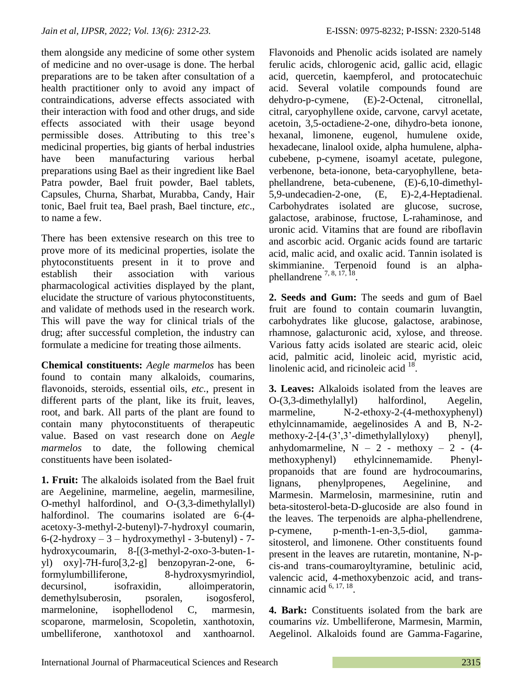them alongside any medicine of some other system of medicine and no over-usage is done. The herbal preparations are to be taken after consultation of a health practitioner only to avoid any impact of contraindications, adverse effects associated with their interaction with food and other drugs, and side effects associated with their usage beyond permissible doses. Attributing to this tree's medicinal properties, big giants of herbal industries have been manufacturing various herbal preparations using Bael as their ingredient like Bael Patra powder, Bael fruit powder, Bael tablets, Capsules, Churna, Sharbat, Murabba, Candy, Hair tonic, Bael fruit tea, Bael prash, Bael tincture, *etc*., to name a few.

There has been extensive research on this tree to prove more of its medicinal properties, isolate the phytoconstituents present in it to prove and establish their association with various pharmacological activities displayed by the plant, elucidate the structure of various phytoconstituents, and validate of methods used in the research work. This will pave the way for clinical trials of the drug; after successful completion, the industry can formulate a medicine for treating those ailments.

**Chemical constituents:** *Aegle marmelos* has been found to contain many alkaloids, coumarins, flavonoids, steroids, essential oils, *etc.*, present in different parts of the plant, like its fruit, leaves, root, and bark. All parts of the plant are found to contain many phytoconstituents of therapeutic value. Based on vast research done on *Aegle marmelos* to date, the following chemical constituents have been isolated-

**1. Fruit:** The alkaloids isolated from the Bael fruit are Aegelinine, marmeline, aegelin, marmesiline, O-methyl halfordinol, and O-(3,3-dimethylallyl) halfordinol. The coumarins isolated are 6-(4 acetoxy-3-methyl-2-butenyl)-7-hydroxyl coumarin,  $6-(2-hydroxy - 3-hydroxymethyl - 3-butenyl) - 7$ hydroxycoumarin, 8-[(3-methyl-2-oxo-3-buten-1 yl) oxy]-7H-furo[3,2-g] benzopyran-2-one, 6 formylumbilliferone, 8-hydroxysmyrindiol, decursinol, isofraxidin, alloimperatorin, demethylsuberosin, psoralen, isogosferol, marmelonine, isophellodenol C, marmesin, scoparone, marmelosin, Scopoletin, xanthotoxin, umbelliferone, xanthotoxol and xanthoarnol. Flavonoids and Phenolic acids isolated are namely ferulic acids, chlorogenic acid, gallic acid, ellagic acid, quercetin, kaempferol, and protocatechuic acid. Several volatile compounds found are dehydro-p-cymene, (E)-2-Octenal, citronellal, citral, caryophyllene oxide, carvone, carvyl acetate, acetoin, 3,5-octadiene-2-one, dihydro-beta ionone, hexanal, limonene, eugenol, humulene oxide, hexadecane, linalool oxide, alpha humulene, alphacubebene, p-cymene, isoamyl acetate, pulegone, verbenone, beta-ionone, beta-caryophyllene, betaphellandrene, beta-cubenene, (E)-6,10-dimethyl-5,9-undecadien-2-one, (E, E)-2,4-Heptadienal. Carbohydrates isolated are glucose, sucrose, galactose, arabinose, fructose, L-rahaminose, and uronic acid. Vitamins that are found are riboflavin and ascorbic acid. Organic acids found are tartaric acid, malic acid, and oxalic acid. Tannin isolated is skimmianine. Terpenoid found is an alphaphellandrene  $^{7, 8, 17, \overline{18}}$ .

**2. Seeds and Gum:** The seeds and gum of Bael fruit are found to contain coumarin luvangtin, carbohydrates like glucose, galactose, arabinose, rhamnose, galacturonic acid, xylose, and threose. Various fatty acids isolated are stearic acid, oleic acid, palmitic acid, linoleic acid, myristic acid, linolenic acid, and ricinoleic acid  $18$ .

**3. Leaves:** Alkaloids isolated from the leaves are O-(3,3-dimethylallyl) halfordinol, Aegelin, marmeline, N-2-ethoxy-2-(4-methoxyphenyl) ethylcinnamamide, aegelinosides A and B, N-2 methoxy-2-[4- $(3,3)$ <sup>2</sup>-dimethylallyloxy) phenyl], anhydomarmeline,  $N - 2$  - methoxy – 2 - (4methoxyphenyl) ethylcinnemamide. Phenylpropanoids that are found are hydrocoumarins, lignans, phenylpropenes, Aegelinine, and Marmesin. Marmelosin, marmesinine, rutin and beta-sitosterol-beta-D-glucoside are also found in the leaves. The terpenoids are alpha-phellendrene, p-cymene, p-menth-1-en-3,5-diol, gammasitosterol, and limonene. Other constituents found present in the leaves are rutaretin, montanine, N-pcis-and trans-coumaroyltyramine, betulinic acid, valencic acid, 4-methoxybenzoic acid, and transcinnamic acid  $6, 17, 18$ .

**4. Bark:** Constituents isolated from the bark are coumarins *viz*. Umbelliferone, Marmesin, Marmin, Aegelinol. Alkaloids found are Gamma-Fagarine,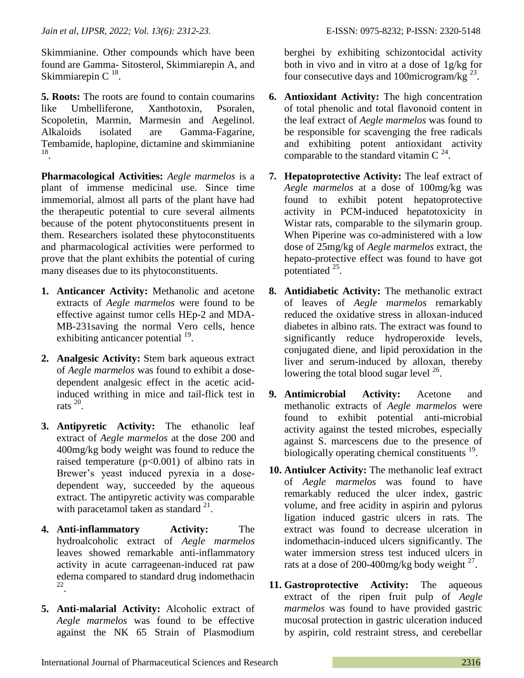Skimmianine. Other compounds which have been found are Gamma- Sitosterol, Skimmiarepin A, and Skimmiarepin C $^{18}$ .

**5. Roots:** The roots are found to contain coumarins like Umbelliferone, Xanthotoxin, Psoralen, Scopoletin, Marmin, Marmesin and Aegelinol. Alkaloids isolated are Gamma-Fagarine, Tembamide, haplopine, dictamine and skimmianine 18 .

**Pharmacological Activities:** *Aegle marmelos* is a plant of immense medicinal use. Since time immemorial, almost all parts of the plant have had the therapeutic potential to cure several ailments because of the potent phytoconstituents present in them. Researchers isolated these phytoconstituents and pharmacological activities were performed to prove that the plant exhibits the potential of curing many diseases due to its phytoconstituents.

- **1. Anticancer Activity:** Methanolic and acetone extracts of *Aegle marmelos* were found to be effective against tumor cells HEp-2 and MDA-MB-231saving the normal Vero cells, hence exhibiting anticancer potential <sup>19</sup>.
- **2. Analgesic Activity:** Stem bark aqueous extract of *Aegle marmelos* was found to exhibit a dosedependent analgesic effect in the acetic acidinduced writhing in mice and tail-flick test in rats <sup>20</sup> .
- **3. Antipyretic Activity:** The ethanolic leaf extract of *Aegle marmelos* at the dose 200 and 400mg/kg body weight was found to reduce the raised temperature  $(p<0.001)$  of albino rats in Brewer's yeast induced pyrexia in a dosedependent way, succeeded by the aqueous extract. The antipyretic activity was comparable with paracetamol taken as standard  $^{21}$ .
- **4. Anti-inflammatory Activity:** The hydroalcoholic extract of *Aegle marmelos* leaves showed remarkable anti-inflammatory activity in acute carrageenan-induced rat paw edema compared to standard drug indomethacin 22 .
- **5. Anti-malarial Activity:** Alcoholic extract of *Aegle marmelos* was found to be effective against the NK 65 Strain of Plasmodium

berghei by exhibiting schizontocidal activity both in vivo and in vitro at a dose of 1g/kg for four consecutive days and 100microgram/kg  $^{23}$ .

- **6. Antioxidant Activity:** The high concentration of total phenolic and total flavonoid content in the leaf extract of *Aegle marmelos* was found to be responsible for scavenging the free radicals and exhibiting potent antioxidant activity comparable to the standard vitamin C  $^{24}$ .
- **7. Hepatoprotective Activity:** The leaf extract of *Aegle marmelos* at a dose of 100mg/kg was found to exhibit potent hepatoprotective activity in PCM-induced hepatotoxicity in Wistar rats, comparable to the silymarin group. When Piperine was co-administered with a low dose of 25mg/kg of *Aegle marmelos* extract, the hepato-protective effect was found to have got potentiated <sup>25</sup>.
- **8. Antidiabetic Activity:** The methanolic extract of leaves of *Aegle marmelos* remarkably reduced the oxidative stress in alloxan-induced diabetes in albino rats. The extract was found to significantly reduce hydroperoxide levels, conjugated diene, and lipid peroxidation in the liver and serum-induced by alloxan, thereby lowering the total blood sugar level  $^{26}$ .
- **9. Antimicrobial Activity:** Acetone and methanolic extracts of *Aegle marmelos* were found to exhibit potential anti-microbial activity against the tested microbes, especially against S. marcescens due to the presence of biologically operating chemical constituents <sup>19</sup>.
- **10. Antiulcer Activity:** The methanolic leaf extract of *Aegle marmelos* was found to have remarkably reduced the ulcer index, gastric volume, and free acidity in aspirin and pylorus ligation induced gastric ulcers in rats. The extract was found to decrease ulceration in indomethacin-induced ulcers significantly. The water immersion stress test induced ulcers in rats at a dose of 200-400mg/kg body weight  $27$ .
- **11. Gastroprotective Activity:** The aqueous extract of the ripen fruit pulp of *Aegle marmelos* was found to have provided gastric mucosal protection in gastric ulceration induced by aspirin, cold restraint stress, and cerebellar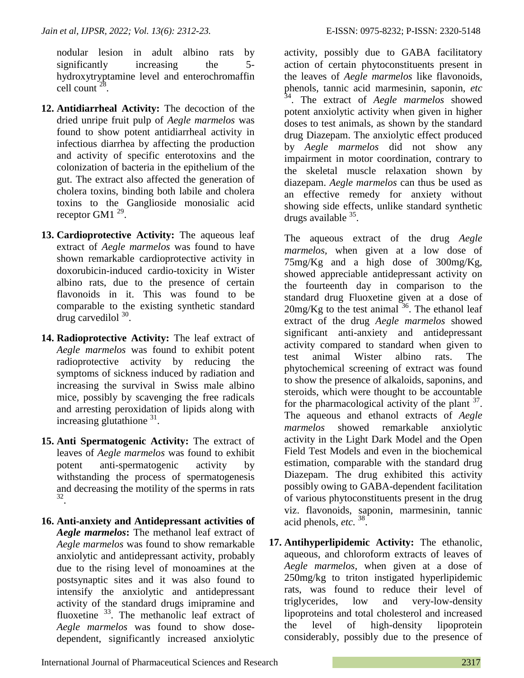nodular lesion in adult albino rats by significantly increasing the 5hydroxytryptamine level and enterochromaffin  $cell count^{28}$ .

- **12. Antidiarrheal Activity:** The decoction of the dried unripe fruit pulp of *Aegle marmelos* was found to show potent antidiarrheal activity in infectious diarrhea by affecting the production and activity of specific enterotoxins and the colonization of bacteria in the epithelium of the gut. The extract also affected the generation of cholera toxins, binding both labile and cholera toxins to the Ganglioside monosialic acid receptor GM1  $^{29}$ .
- **13. Cardioprotective Activity:** The aqueous leaf extract of *Aegle marmelos* was found to have shown remarkable cardioprotective activity in doxorubicin-induced cardio-toxicity in Wister albino rats, due to the presence of certain flavonoids in it. This was found to be comparable to the existing synthetic standard drug carvedilol  $30$ .
- **14. Radioprotective Activity:** The leaf extract of *Aegle marmelos* was found to exhibit potent radioprotective activity by reducing the symptoms of sickness induced by radiation and increasing the survival in Swiss male albino mice, possibly by scavenging the free radicals and arresting peroxidation of lipids along with increasing glutathione  $31$ .
- **15. Anti Spermatogenic Activity:** The extract of leaves of *Aegle marmelos* was found to exhibit potent anti-spermatogenic activity by withstanding the process of spermatogenesis and decreasing the motility of the sperms in rats 32 .
- **16. Anti-anxiety and Antidepressant activities of**  *Aegle marmelos***:** The methanol leaf extract of *Aegle marmelos* was found to show remarkable anxiolytic and antidepressant activity, probably due to the rising level of monoamines at the postsynaptic sites and it was also found to intensify the anxiolytic and antidepressant activity of the standard drugs imipramine and fluoxetine <sup>33</sup>. The methanolic leaf extract of *Aegle marmelos* was found to show dosedependent, significantly increased anxiolytic

activity, possibly due to GABA facilitatory action of certain phytoconstituents present in the leaves of *Aegle marmelos* like flavonoids, phenols, tannic acid marmesinin, saponin, *etc* 34 . The extract of *Aegle marmelos* showed potent anxiolytic activity when given in higher doses to test animals, as shown by the standard drug Diazepam. The anxiolytic effect produced by *Aegle marmelos* did not show any impairment in motor coordination, contrary to the skeletal muscle relaxation shown by diazepam. *Aegle marmelos* can thus be used as an effective remedy for anxiety without showing side effects, unlike standard synthetic drugs available <sup>35</sup>.

The aqueous extract of the drug *Aegle marmelos,* when given at a low dose of 75mg/Kg and a high dose of 300mg/Kg, showed appreciable antidepressant activity on the fourteenth day in comparison to the standard drug Fluoxetine given at a dose of  $20$ mg/Kg to the test animal  $36$ . The ethanol leaf extract of the drug *Aegle marmelos* showed significant anti-anxiety and antidepressant activity compared to standard when given to test animal Wister albino rats. The phytochemical screening of extract was found to show the presence of alkaloids, saponins, and steroids, which were thought to be accountable for the pharmacological activity of the plant  $37$ . The aqueous and ethanol extracts of *Aegle marmelos* showed remarkable anxiolytic activity in the Light Dark Model and the Open Field Test Models and even in the biochemical estimation, comparable with the standard drug Diazepam. The drug exhibited this activity possibly owing to GABA-dependent facilitation of various phytoconstituents present in the drug viz. flavonoids, saponin, marmesinin, tannic acid phenols, *etc.* 38 .

**17. Antihyperlipidemic Activity:** The ethanolic, aqueous, and chloroform extracts of leaves of *Aegle marmelos,* when given at a dose of 250mg/kg to triton instigated hyperlipidemic rats, was found to reduce their level of triglycerides, low and very-low-density lipoproteins and total cholesterol and increased the level of high-density lipoprotein considerably, possibly due to the presence of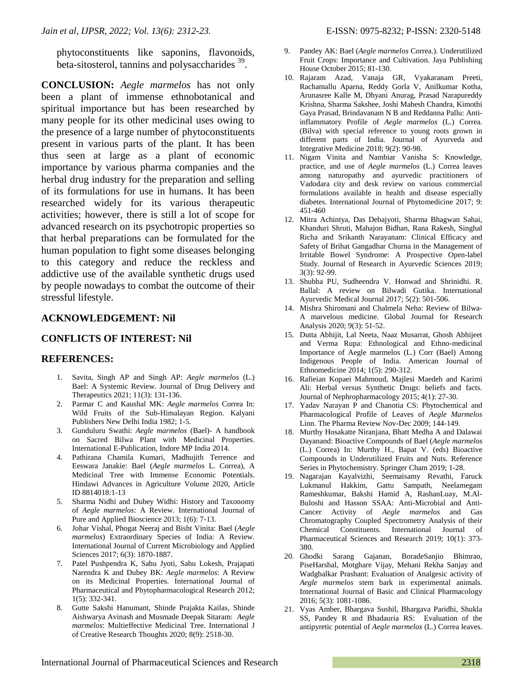phytoconstituents like saponins, flavonoids, beta-sitosterol, tannins and polysaccharides <sup>39</sup>.

**CONCLUSION:** *Aegle marmelos* has not only been a plant of immense ethnobotanical and spiritual importance but has been researched by many people for its other medicinal uses owing to the presence of a large number of phytoconstituents present in various parts of the plant. It has been thus seen at large as a plant of economic importance by various pharma companies and the herbal drug industry for the preparation and selling of its formulations for use in humans. It has been researched widely for its various therapeutic activities; however, there is still a lot of scope for advanced research on its psychotropic properties so that herbal preparations can be formulated for the human population to fight some diseases belonging to this category and reduce the reckless and addictive use of the available synthetic drugs used by people nowadays to combat the outcome of their stressful lifestyle.

## **ACKNOWLEDGEMENT: Nil**

## **CONFLICTS OF INTEREST: Nil**

### **REFERENCES:**

- 1. Savita, Singh AP and Singh AP: *Aegle marmelos* (L.) Bael: A Systemic Review. Journal of Drug Delivery and Therapeutics 2021; 11(3): 131-136.
- 2. Parmar C and Kaushal MK: *Aegle marmelos* Correa In: Wild Fruits of the Sub-Himalayan Region. Kalyani Publishers New Delhi India 1982; 1-5.
- 3. Gunduluru Swathi: *Aegle marmelos* (Bael)- A handbook on Sacred Bilwa Plant with Medicinal Properties. International E-Publication, Indore MP India 2014.
- 4. Pathirana Chamila Kumari, Madhujith Terrence and Eeswara Janakie: Bael (*Aegle marmelos* L. Correa), A Medicinal Tree with Immense Economic Potentials. Hindawi Advances in Agriculture Volume 2020, Article ID 8814018:1-13
- 5. Sharma Nidhi and Dubey Widhi: History and Taxonomy of *Aegle marmelos*: A Review. International Journal of Pure and Applied Bioscience 2013; 1(6): 7-13.
- 6. Johar Vishal, Phogat Neeraj and Bisht Vinita: Bael (*Aegle marmelos*) Extraordinary Species of India: A Review. International Journal of Current Microbiology and Applied Sciences 2017; 6(3): 1870-1887.
- 7. Patel Pushpendra K, Sahu Jyoti, Sahu Lokesh, Prajapati Narendra K and Dubey BK: *Aegle marmelos*: A Review on its Medicinal Properties. International Journal of Pharmaceutical and Phytopharmacological Research 2012; 1(5): 332-341.
- 8. Gutte Sakshi Hanumant, Shinde Prajakta Kailas, Shinde Aishwarya Avinash and Musmade Deepak Sitaram: *Aegle marmelos*: Multieffective Medicinal Tree. International J of Creative Research Thoughts 2020; 8(9): 2518-30.
- 9. Pandey AK: Bael (*Aegle marmelos* Correa.). Underutilized Fruit Crops: Importance and Cultivation. Jaya Publishing House October 2015; 81-130.
- 10. Rajaram Azad, Vanaja GR, Vyakaranam Preeti, Rachamallu Aparna, Reddy Gorla V, Anilkumar Kotha, Arunasree Kalle M, Dhyani Anurag, Prasad Narapureddy Krishna, Sharma Sakshee, Joshi Mahesh Chandra, Kimothi Gaya Prasad, Brindavanam N B and Reddanna Pallu: Antiinflammatory Profile of *Aegle marmelos* (L.) Correa. (Bilva) with special reference to young roots grown in different parts of India. Journal of Ayurveda and Integrative Medicine 2018; 9(2): 90-98.
- 11. Nigam Vinita and Nambiar Vanisha S: Knowledge, practice, and use of *Aegle marmelos* (L.) Correa leaves among naturopathy and ayurvedic practitioners of Vadodara city and desk review on various commercial formulations available in health and disease especially diabetes. International Journal of Phytomedicine 2017; 9: 451-460
- 12. Mitra Achintya, Das Debajyoti, Sharma Bhagwan Sahai, Khanduri Shruti, Mahajon Bidhan, Rana Rakesh, Singhal Richa and Srikanth Narayanam: Clinical Efficacy and Safety of Brihat Gangadhar Churna in the Management of Irritable Bowel Syndrome: A Prospective Open-label Study. Journal of Research in Ayurvedic Sciences 2019; 3(3): 92-99.
- 13. Shubha PU, Sudheendra V. Honwad and Shrinidhi. R. Ballal: A review on Bilwadi Gutika. International Ayurvedic Medical Journal 2017; 5(2): 501-506.
- 14. Mishra Shiromani and Chalmela Neha: Review of Bilwa-A marvelous medicine. Global Journal for Research Analysis 2020; 9(3): 51-52.
- 15. Dutta Abhijit, Lal Neeta, Naaz Musarrat, Ghosh Abhijeet and Verma Rupa: Ethnological and Ethno-medicinal Importance of Aegle marmelos (L.) Corr (Bael) Among Indigenous People of India. American Journal of Ethnomedicine 2014; 1(5): 290-312.
- 16. Rafieian Kopaei Mahmoud, Majlesi Maedeh and Karimi Ali: Herbal versus Synthetic Drugs: beliefs and facts. Journal of Nephropharmacology 2015; 4(1): 27-30.
- 17. Yadav Narayan P and Chanotia CS: Phytochemical and Pharmacological Profile of Leaves of *Aegle Marmelos* Linn. The Pharma Review Nov-Dec 2009; 144-149.
- 18. Murthy Hosakatte Niranjana, Bhatt Medha A and Dalawai Dayanand: Bioactive Compounds of Bael (*Aegle marmelos* (L.) Correa) In: Murthy H., Bapat V. (eds) Bioactive Compounds in Underutilized Fruits and Nuts. Reference Series in Phytochemistry. Springer Cham 2019; 1-28.
- 19. Nagarajan Kayalvizhi, Seemaisamy Revathi, Faruck Lukmanul Hakkim, Gattu Sampath, Neelamegam Rameshkumar, Bakshi Hamid A, RashanLuay, M.Al-Buloshi and Hasson SSAA: Anti-Microbial and Anti-Cancer Activity of *Aegle marmelos* and Gas Chromatography Coupled Spectrometry Analysis of their Chemical Constituents. International Journal of Pharmaceutical Sciences and Research 2019; 10(1): 373- 380.
- 20. Ghodki Sarang Gajanan, BoradeSanjio Bhimrao, PiseHarshal, Motghare Vijay, Mehani Rekha Sanjay and Wadgbalkar Prashant: Evaluation of Analgesic activity of *Aegle marmelos* stem bark in experimental animals. International Journal of Basic and Clinical Pharmacology 2016; 5(3): 1081-1086.
- 21. Vyas Amber, Bhargava Sushil, Bhargava Paridhi, Shukla SS, Pandey R and Bhadauria RS: Evaluation of the antipyretic potential of *Aegle marmelos* (L.) Correa leaves.